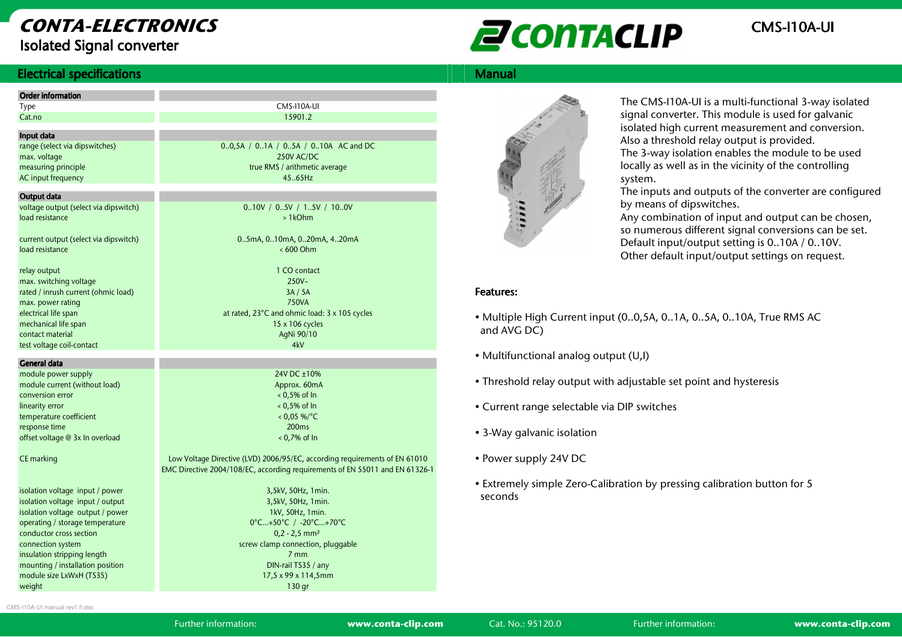# CONTA-ELECTRONICSIsolated Signal converter



# **Electrical specifications**

| Electrical specifications                                    |                                                                              | <b>Manual</b>           |
|--------------------------------------------------------------|------------------------------------------------------------------------------|-------------------------|
| <b>Order information</b>                                     |                                                                              |                         |
| Type                                                         | CMS-I10A-UI                                                                  |                         |
| Cat.no                                                       | 15901.2                                                                      |                         |
| Input data                                                   |                                                                              |                         |
| range (select via dipswitches)                               | 00,5A / 01A / 05A / 010A AC and DC                                           |                         |
| max. voltage                                                 | 250V AC/DC                                                                   |                         |
| measuring principle                                          | true RMS / arithmetic average                                                |                         |
| <b>AC</b> input frequency                                    | 45.65Hz                                                                      |                         |
| Output data                                                  |                                                                              |                         |
| voltage output (select via dipswitch)                        | 010V / 05V / 15V / 100V                                                      | ELERE                   |
| load resistance                                              | >1kOhm                                                                       |                         |
|                                                              |                                                                              |                         |
| current output (select via dipswitch)                        | 05mA, 010mA, 020mA, 420mA                                                    |                         |
| load resistance                                              | $< 600$ Ohm                                                                  |                         |
|                                                              |                                                                              |                         |
| relay output                                                 | 1 CO contact                                                                 |                         |
| max. switching voltage                                       | $250V -$                                                                     |                         |
| rated / inrush current (ohmic load)                          | 3A / 5A                                                                      | <b>Features:</b>        |
| max. power rating                                            | 750VA                                                                        |                         |
| electrical life span                                         | at rated, 23°C and ohmic load: 3 x 105 cycles                                |                         |
| mechanical life span                                         | 15 x 106 cycles                                                              | • Multiple              |
| contact material                                             | AgNi 90/10                                                                   | and AVC                 |
| test voltage coil-contact                                    | 4kV                                                                          |                         |
|                                                              |                                                                              | • Multifur              |
| General data                                                 |                                                                              |                         |
| module power supply                                          | 24V DC ±10%                                                                  |                         |
| module current (without load)                                | Approx. 60mA                                                                 | • Thresho               |
| conversion error                                             | $< 0.5%$ of In                                                               |                         |
| linearity error                                              | $< 0.5%$ of In                                                               | • Current               |
| temperature coefficient                                      | < $0.05\%$ /°C                                                               |                         |
| response time                                                | 200ms                                                                        |                         |
| offset voltage @ 3x In overload                              | $< 0.7%$ of In                                                               | $\bullet$ 3-Way $\circ$ |
| CE marking                                                   | Low Voltage Directive (LVD) 2006/95/EC, according requirements of EN 61010   | • Power s               |
|                                                              | EMC Directive 2004/108/EC, according requirements of EN 55011 and EN 61326-1 |                         |
|                                                              |                                                                              |                         |
| isolation voltage input / power                              | 3,5kV, 50Hz, 1min.                                                           | • Extreme               |
| isolation voltage input / output                             | 3,5kV, 50Hz, 1min.                                                           | seconds                 |
| isolation voltage output / power                             | 1kV, 50Hz, 1min.                                                             |                         |
| operating / storage temperature                              | 0°C+50°C / -20°C+70°C                                                        |                         |
| conductor cross section                                      | $0,2 - 2,5$ mm <sup>2</sup>                                                  |                         |
| connection system                                            | screw clamp connection, pluggable                                            |                         |
| insulation stripping length                                  | 7 <sub>mm</sub>                                                              |                         |
|                                                              | DIN-rail TS35 / any                                                          |                         |
| mounting / installation position<br>module size LxWxH (TS35) | 17,5 x 99 x 114,5mm                                                          |                         |
|                                                              |                                                                              |                         |
| weight                                                       | 130 gr                                                                       |                         |



The CMS-I10A-UI is a multi-functional 3-way isolatedsignal converter. This module is used for galvanic isolated high current measurement and conversion. Also a threshold relay output is provided. The 3-way isolation enables the module to be used

locally as well as in the vicinity of the controlling system.

 The inputs and outputs of the converter are configured by means of dipswitches.

 Any combination of input and output can be chosen, so numerous different signal conversions can be set. Default input/output setting is 0..10A / 0..10V. Other default input/output settings on request.

#### Features: Features:

- Multiple High Current input (0..0,5A, 0..1A, 0..5A, 0..10A, True RMS AC and AVG DC)
- Multifunctional analog output (U,I)
- Threshold relay output with adjustable set point and hysteresis
- Current range selectable via DIP switches
- 3-Way galvanic isolation
- Power supply 24V DC
- Extremely simple Zero-Calibration by pressing calibration button for 5 seconds

CMS-I10A-UI manual rev1.fl.doc